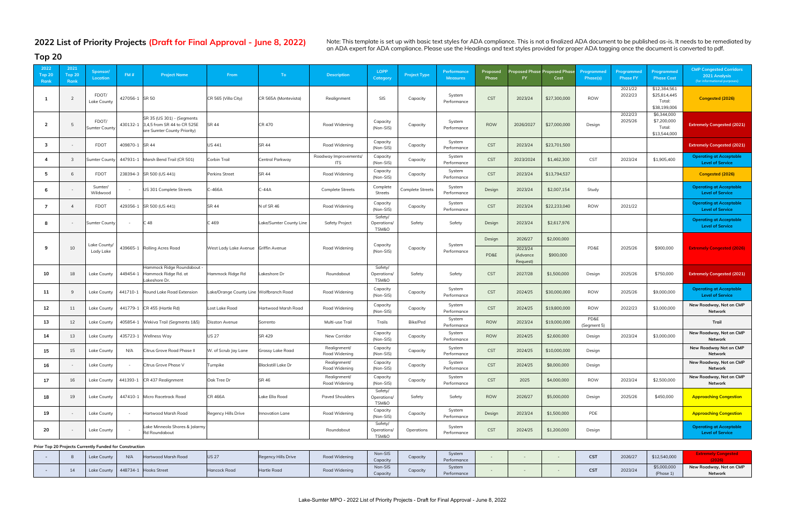Note: This template is set up with basic text styles for ADA compliance. This is not a finalized ADA document to be published as-is. It needs to be remediated by<br>an ADA expert for ADA compliance. Please use the Headings an

| 2022<br>Top $20$<br>Rank | 2021<br><b>Top 20</b><br>Rank | Sponsor/<br><b>Location</b>                             | FM#            | <b>Project Name</b>                                                                               | From                                   | To:                       | <b>Description</b>                  | <b>LOPP</b><br>Category         | <b>Project Type</b>     | Performance<br><b>Measures</b> | Proposed<br>Phase | FY                              | Proposed Phase Proposed Phas<br>Cost | Programmed<br>Phase(s) | Programmed<br><b>Phase FY</b> | Programmed<br><b>Phase Cost</b>                        | <b>CMP Congested Corridors</b><br>2021 Analysis<br>(for informational purposes) |
|--------------------------|-------------------------------|---------------------------------------------------------|----------------|---------------------------------------------------------------------------------------------------|----------------------------------------|---------------------------|-------------------------------------|---------------------------------|-------------------------|--------------------------------|-------------------|---------------------------------|--------------------------------------|------------------------|-------------------------------|--------------------------------------------------------|---------------------------------------------------------------------------------|
| $\mathbf{1}$             |                               | FDOT/<br>Lake County                                    | 427056-1 SR 50 |                                                                                                   | CR 565 (Villa City)                    | CR 565A (Montevista)      | Realignment                         | SIS                             | Capacity                | System<br>Performance          | <b>CST</b>        | 2023/24                         | \$27,300,000                         | <b>ROW</b>             | 2021/22<br>2022/23            | \$12,384,561<br>\$25,814,445<br>Total:<br>\$38,199,006 | Congested (2026)                                                                |
| $\overline{2}$           |                               | FDOT/<br><b>Sumter County</b>                           |                | SR 35 (US 301) - (Segments<br>430132-1 3,4,5 from SR 44 to CR 525E<br>are Sumter County Priority) | <b>SR 44</b>                           | <b>CR 470</b>             | Road Widening                       | Capacity<br>(Non-SIS)           | Capacity                | System<br>Performance          | <b>ROW</b>        | 2026/2027                       | \$27,000,000                         | Design                 | 2022/23<br>2025/26            | \$6,344,000<br>\$7,200,000<br>Total:<br>\$13,544,000   | <b>Extremely Congested (2021)</b>                                               |
| $\overline{\mathbf{3}}$  |                               | <b>FDOT</b>                                             | 409870-1 SR 44 |                                                                                                   | <b>US 441</b>                          | <b>SR 44</b>              | Road Widening                       | Capacity<br>(Non-SIS)           | Capacity                | System<br>Performance          | <b>CST</b>        | 2023/24                         | \$23,701,500                         |                        |                               |                                                        | <b>Extremely Congested (2021)</b>                                               |
| $\overline{\bf{4}}$      |                               | Sumter County                                           |                | 447931-1 Marsh Bend Trail (CR 501)                                                                | Corbin Trail                           | Central Parkway           | Roadway Improvements/<br><b>ITS</b> | Capacity<br>(Non-SIS)           | Capacity                | System<br>Performance          | <b>CST</b>        | 2023/2024                       | \$1,462,300                          | <b>CST</b>             | 2023/24                       | \$1,905,400                                            | <b>Operating at Acceptable</b><br><b>Level of Service</b>                       |
| 5                        | 6                             | <b>FDOT</b>                                             |                | 238394-3 SR 500 (US 441)                                                                          | Perkins Street                         | <b>SR 44</b>              | Road Widening                       | Capacity<br>(Non-SIS)           | Capacity                | System<br>Performance          | <b>CST</b>        | 2023/24                         | \$13,794,537                         |                        |                               |                                                        | Congested (2026)                                                                |
| 6                        |                               | Sumter/<br>Wildwood                                     |                | US 301 Complete Streets                                                                           | C-466A                                 | $C-44A$                   | <b>Complete Streets</b>             | Complete<br><b>Streets</b>      | <b>Complete Streets</b> | System<br>Performance          | Design            | 2023/24                         | \$2,007,154                          | Study                  |                               |                                                        | <b>Operating at Acceptable</b><br><b>Level of Service</b>                       |
| $\overline{7}$           |                               | <b>FDOT</b>                                             | 429356-1       | SR 500 (US 441)                                                                                   | <b>SR 44</b>                           | N of SR 46                | Road Widening                       | Capacity<br>(Non-SIS)           | Capacity                | System<br>Performance          | <b>CST</b>        | 2023/24                         | \$22,233,040                         | <b>ROW</b>             | 2021/22                       |                                                        | <b>Operating at Acceptable</b><br><b>Level of Service</b>                       |
| 8                        |                               | <b>Sumter County</b>                                    |                | C 48                                                                                              | C 469                                  | Lake/Sumter County Line   | <b>Safety Project</b>               | Safety/<br>Operations/<br>TSM&O | Safety                  | Safety                         | Design            | 2023/24                         | \$2,617,976                          |                        |                               |                                                        | <b>Operating at Acceptable</b><br><b>Level of Service</b>                       |
|                          |                               | Lake County/                                            |                |                                                                                                   |                                        |                           |                                     | Capacity                        |                         | System                         | Design            | 2026/27                         | \$2,000,000                          |                        |                               |                                                        |                                                                                 |
| 9                        | 10                            | Lady Lake                                               |                | 439665-1 Rolling Acres Road                                                                       | West Lady Lake Avenue Griffin Avenue   |                           | Road Widening                       | (Non-SIS)                       | Capacity                | Performance                    | PD&E              | 2023/24<br>(Advance<br>Request) | \$900,000                            | PD&E                   | 2025/26                       | \$900,000                                              | <b>Extremely Congested (2026)</b>                                               |
| 10                       | 18                            | Lake County                                             | 449454-1       | Hammock Ridge Roundabout<br>Hammock Ridge Rd. at<br>Lakeshore Dr.                                 | Hammock Ridge Rd                       | Lakeshore Dr              | Roundabout                          | Safety/<br>Operations/<br>TSM&O | Safety                  | Safety                         | <b>CST</b>        | 2027/28                         | \$1,500,000                          | Design                 | 2025/26                       | \$750,000                                              | <b>Extremely Congested (2021)</b>                                               |
| 11                       | 9                             | Lake County                                             | 441710-1       | Round Lake Road Extension                                                                         | ake/Orange County Line Wolfbranch Road |                           | Road Widening                       | Capacity<br>(Non-SIS)           | Capacity                | System<br>Performance          | <b>CST</b>        | 2024/25                         | \$30,000,000                         | <b>ROW</b>             | 2025/26                       | \$9,000,000                                            | <b>Operating at Acceptable</b><br><b>Level of Service</b>                       |
| 12                       | 11                            | Lake County                                             |                | 441779-1 CR 455 (Hartle Rd)                                                                       | ost Lake Road                          | Hartwood Marsh Road       | Road Widening                       | Capacity<br>(Non-SIS)           | Capacity                | System<br>Performance          | <b>CST</b>        | 2024/25                         | \$19,800,000                         | <b>ROW</b>             | 2022/23                       | \$3,000,000                                            | New Roadway, Not on CMP<br><b>Network</b>                                       |
| 13                       | 12                            | Lake County                                             |                | 405854-1 Wekiva Trail (Segments 1&5)                                                              | Disston Avenue                         | Sorrento                  | Multi-use Trail                     | Trails                          | Bike/Ped                | System<br>Performance          | <b>ROW</b>        | 2023/24                         | \$19,000,000                         | PD&E<br>(Segment 5)    |                               |                                                        | Trail                                                                           |
| 14                       | 13                            | Lake County                                             |                | 435723-1 Wellness Way                                                                             | <b>US 27</b>                           | SR 429                    | New Corridor                        | Capacity<br>(Non-SIS)           | Capacity                | System<br>Performance          | <b>ROW</b>        | 2024/25                         | \$2,600,000                          | Design                 | 2023/24                       | \$3,000,000                                            | New Roadway, Not on CMP<br><b>Network</b>                                       |
| 15                       | 15                            | Lake County                                             | N/A            | Citrus Grove Road Phase II                                                                        | W. of Scrub Jay Lane                   | <b>Grassy Lake Road</b>   | Realignment/<br>Road Widening       | Capacity<br>(Non-SIS)           | Capacity                | System<br>Performance          | <b>CST</b>        | 2024/25                         | \$10,000,000                         | Design                 |                               |                                                        | New Roadway Not on CMP<br><b>Network</b>                                        |
| 16                       |                               | Lake County                                             |                | Citrus Grove Phase V                                                                              | Turnpike                               | <b>Blackstill Lake Dr</b> | Realignment/<br>Road Widening       | Capacity<br>(Non-SIS)           | Capacity                | System<br>Performance          | <b>CST</b>        | 2024/25                         | \$8,000,000                          | Design                 |                               |                                                        | New Roadway, Not on CMP<br>Network                                              |
| 17                       | 16                            | Lake County                                             |                | 441393-1 CR 437 Realignment                                                                       | Oak Tree Dr                            | <b>SR 46</b>              | Realignment/<br>Road Widening       | Capacity<br>(Non-SIS)           | Capacity                | System<br>Performance          | <b>CST</b>        | 2025                            | \$4,000,000                          | <b>ROW</b>             | 2023/24                       | \$2,500,000                                            | New Roadway, Not on CMP<br>Network                                              |
| 18                       | 19                            | Lake County                                             |                | 447410-1 Micro Racetrack Road                                                                     | <b>CR 466A</b>                         | Lake Ella Road            | <b>Paved Shoulders</b>              | Safety/<br>Operations/<br>TSM&O | Safety                  | Safety                         | ROW               | 2026/27                         | \$5,000,000                          | Design                 | 2025/26                       | \$450,000                                              | <b>Approaching Congestion</b>                                                   |
| 19                       |                               | Lake County                                             |                | Hartwood Marsh Road                                                                               | Regency Hills Drive                    | Innovation Lane           | Road Widening                       | Capacity<br>(Non-SIS)           | Capacity                | System<br>Performance          | Design            | 2023/24                         | \$1,500,000                          | PDE                    |                               |                                                        | <b>Approaching Congestion</b>                                                   |
| 20                       |                               | Lake County                                             |                | Lake Minneola Shores & Jalarmy<br><b>Rd Roundabout</b>                                            |                                        |                           | Roundabout                          | Safety/<br>Operations/<br>TSM&O | Operations              | System<br>Performance          | <b>CST</b>        | 2024/25                         | \$1,200,000                          | Design                 |                               |                                                        | <b>Operating at Acceptable</b><br><b>Level of Service</b>                       |
|                          |                               | Prior Top 20 Projects Currently Funded for Construction |                |                                                                                                   |                                        |                           |                                     | Non CIC                         |                         | $\sim$                         |                   |                                 |                                      |                        |                               |                                                        | Evtramaby Congostad                                                             |

|  | <b>Lake County</b> | N/A | Hartwood Marsh Road           | US 27               | Regency Hills Drive | Road Widening | Non-SIS<br>Capacity | Iapacit  | Systen<br>Performance |  | CST<br>$\ddotsc$ | 2026/27 | \$12,540,000             |                                    |
|--|--------------------|-----|-------------------------------|---------------------|---------------------|---------------|---------------------|----------|-----------------------|--|------------------|---------|--------------------------|------------------------------------|
|  | Lake County        |     | $\vert$ 448734-1 Hooks Street | <b>Hancock Road</b> | Hartle Road         | Road Widening | Non-SIS<br>Capacity | Capacit; | System<br>Performance |  | CCT<br>ᅜ         | 2023/24 | \$5,000,000<br>(Phase 1) | New Roadway, Not on CMP<br>Network |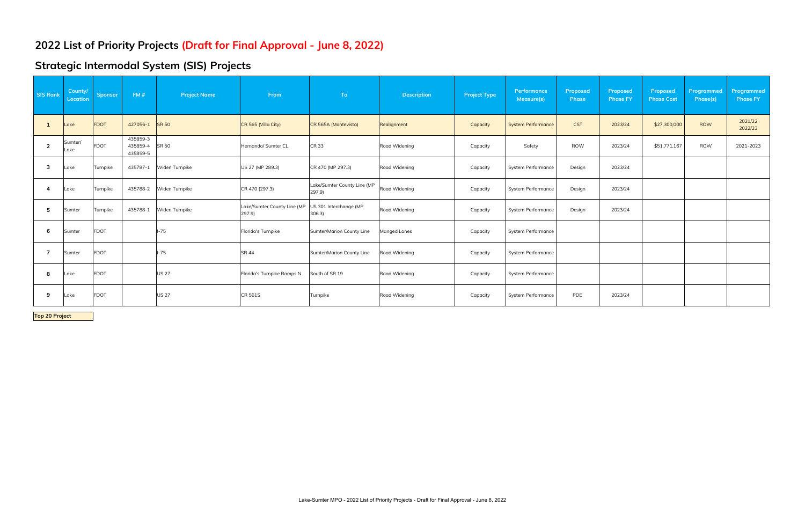# **Strategic Intermodal System (SIS) Projects**

| <b>SIS Rank</b> | County/<br>Location | <b>Sponsor</b> | FM#                              | <b>Project Name</b> | From                                  | To                                   | <b>Description</b> | <b>Project Type</b> | Performance<br>Measure(s) | Proposed<br>Phase | Proposed<br><b>Phase FY</b> | Proposed<br><b>Phase Cost</b> | Programmed<br>Phase(s) | Programmed<br><b>Phase FY</b> |
|-----------------|---------------------|----------------|----------------------------------|---------------------|---------------------------------------|--------------------------------------|--------------------|---------------------|---------------------------|-------------------|-----------------------------|-------------------------------|------------------------|-------------------------------|
|                 | ake                 | <b>FDOT</b>    | 427056-1                         | <b>SR 50</b>        | CR 565 (Villa City)                   | CR 565A (Montevista)                 | Realignment        | Capacity            | <b>System Performance</b> | <b>CST</b>        | 2023/24                     | \$27,300,000                  | <b>ROW</b>             | 2021/22<br>2022/23            |
| $\overline{2}$  | Sumter/<br>Lake     | <b>FDOT</b>    | 435859-3<br>435859-4<br>435859-5 | <b>SR 50</b>        | Hernando/ Sumter CL                   | <b>CR33</b>                          | Road Widening      | Capacity            | Safety                    | <b>ROW</b>        | 2023/24                     | \$51,771,167                  | ROW                    | 2021-2023                     |
| 3               | Lake                | Turnpike       | 435787-1                         | Widen Turnpike      | US 27 (MP 289.3)                      | CR 470 (MP 297.3)                    | Road Widening      | Capacity            | <b>System Performance</b> | Design            | 2023/24                     |                               |                        |                               |
|                 | Lake                | Turnpike       | 435788-2                         | Widen Turnpike      | CR 470 (297.3)                        | Lake/Sumter County Line (MP<br>297.9 | Road Widening      | Capacity            | <b>System Performance</b> | Design            | 2023/24                     |                               |                        |                               |
| -5              | Sumter              | Turnpike       | 435788-1                         | Widen Turnpike      | Lake/Sumter County Line (MP<br>297.9) | US 301 Interchange (MP<br>306.3      | Road Widening      | Capacity            | <b>System Performance</b> | Design            | 2023/24                     |                               |                        |                               |
| -6              | Sumter              | <b>FDOT</b>    |                                  | -75                 | Florida's Turnpike                    | Sumter/Marion County Line            | Manged Lanes       | Capacity            | <b>System Performance</b> |                   |                             |                               |                        |                               |
| 7               | Sumter              | <b>FDOT</b>    |                                  | $-75$               | <b>SR 44</b>                          | Sumter/Marion County Line            | Road Widening      | Capacity            | <b>System Performance</b> |                   |                             |                               |                        |                               |
| 8               | .ake                | <b>FDOT</b>    |                                  | <b>US 27</b>        | Florida's Turnpike Ramps N            | South of SR 19                       | Road Widening      | Capacity            | <b>System Performance</b> |                   |                             |                               |                        |                               |
| 9               | .ake                | <b>FDOT</b>    |                                  | <b>US 27</b>        | <b>CR 561S</b>                        | Turnpike                             | Road Widening      | Capacity            | <b>System Performance</b> | PDE               | 2023/24                     |                               |                        |                               |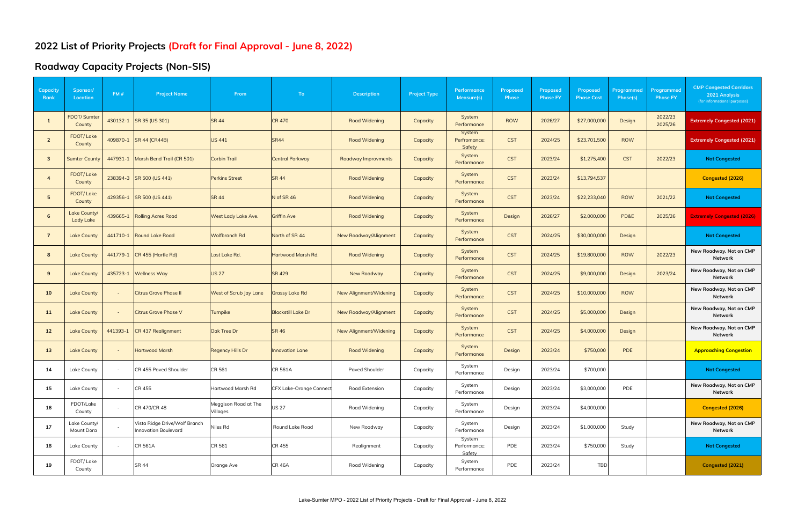#### **Roadway Capacity Projects (Non-SIS)**

| Capacity<br>Rank        | Sponsor/<br><b>Location</b> | FM#      | <b>Project Name</b>                                   | From                             | To                             | <b>Description</b>     | <b>Project Type</b> | Performance<br>Measure(s)        | Proposed<br><b>Phase</b> | Proposed<br><b>Phase FY</b> | Proposed<br><b>Phase Cost</b> | Programmed<br>Phase(s) | Programmed<br><b>Phase FY</b> | <b>CMP Congested Corridors</b><br>2021 Analysis<br>(for informational purposes) |
|-------------------------|-----------------------------|----------|-------------------------------------------------------|----------------------------------|--------------------------------|------------------------|---------------------|----------------------------------|--------------------------|-----------------------------|-------------------------------|------------------------|-------------------------------|---------------------------------------------------------------------------------|
|                         | FDOT/ Sumter<br>County      |          | 430132-1 SR 35 (US 301)                               | <b>SR 44</b>                     | <b>CR 470</b>                  | <b>Road Widening</b>   | Capacity            | System<br>Performance            | <b>ROW</b>               | 2026/27                     | \$27,000,000                  | Design                 | 2022/23<br>2025/26            | <b>Extremely Congested (2021)</b>                                               |
| $\overline{2}$          | <b>FDOT/Lake</b><br>County  |          | 409870-1 SR 44 (CR44B)                                | <b>US 441</b>                    | <b>SR44</b>                    | <b>Road Widening</b>   | Capacity            | System<br>Perfromance;<br>Safety | <b>CST</b>               | 2024/25                     | \$23,701,500                  | <b>ROW</b>             |                               | <b>Extremely Congested (2021)</b>                                               |
| $\overline{\mathbf{3}}$ | <b>Sumter County</b>        | 447931-1 | Marsh Bend Trail (CR 501)                             | <b>Corbin Trail</b>              | <b>Central Parkway</b>         | Roadway Improvments    | Capacity            | System<br>Performance            | <b>CST</b>               | 2023/24                     | \$1,275,400                   | <b>CST</b>             | 2022/23                       | <b>Not Congested</b>                                                            |
| $\overline{\mathbf{4}}$ | FDOT/Lake<br>County         |          | 238394-3 SR 500 (US 441)                              | <b>Perkins Street</b>            | <b>SR 44</b>                   | <b>Road Widening</b>   | Capacity            | System<br>Performance            | <b>CST</b>               | 2023/24                     | \$13,794,537                  |                        |                               | Congested (2026)                                                                |
| 5 <sup>5</sup>          | <b>FDOT/Lake</b><br>County  | 429356-1 | SR 500 (US 441)                                       | <b>SR 44</b>                     | N of SR 46                     | <b>Road Widening</b>   | Capacity            | System<br>Performance            | <b>CST</b>               | 2023/24                     | \$22,233,040                  | <b>ROW</b>             | 2021/22                       | <b>Not Congested</b>                                                            |
| 6                       | Lake County/<br>Lady Lake   | 439665-1 | <b>Rolling Acres Road</b>                             | West Lady Lake Ave.              | <b>Griffin Ave</b>             | <b>Road Widening</b>   | Capacity            | System<br>Performance            | Design                   | 2026/27                     | \$2,000,000                   | PD&E                   | 2025/26                       | <b>Extremely Congested (2026)</b>                                               |
| $\overline{7}$          | <b>Lake County</b>          | 441710-1 | <b>Round Lake Road</b>                                | Wolfbranch Rd                    | North of SR 44                 | New Roadway/Alignment  | Capacity            | System<br>Performance            | <b>CST</b>               | 2024/25                     | \$30,000,000                  | Design                 |                               | <b>Not Congested</b>                                                            |
| 8                       | <b>Lake County</b>          | 441779-1 | CR 455 (Hartle Rd)                                    | Lost Lake Rd.                    | Hartwood Marsh Rd.             | <b>Road Widening</b>   | Capacity            | System<br>Performance            | <b>CST</b>               | 2024/25                     | \$19,800,000                  | <b>ROW</b>             | 2022/23                       | New Roadway, Not on CMP<br>Network                                              |
| 9                       | <b>Lake County</b>          | 435723-1 | <b>Wellness Way</b>                                   | <b>US 27</b>                     | <b>SR 429</b>                  | New Roadway            | Capacity            | System<br>Performance            | <b>CST</b>               | 2024/25                     | \$9,000,000                   | Design                 | 2023/24                       | New Roadway, Not on CMP<br>Network                                              |
| 10                      | <b>Lake County</b>          |          | <b>Citrus Grove Phase II</b>                          | West of Scrub Jay Lane           | <b>Grassy Lake Rd</b>          | New Alignment/Widening | Capacity            | System<br>Performance            | <b>CST</b>               | 2024/25                     | \$10,000,000                  | <b>ROW</b>             |                               | New Roadway, Not on CMP<br>Network                                              |
| 11                      | <b>Lake County</b>          |          | <b>Citrus Grove Phase V</b>                           | Turnpike                         | <b>Blackstill Lake Dr</b>      | New Roadway/Alignment  | Capacity            | System<br>Performance            | <b>CST</b>               | 2024/25                     | \$5,000,000                   | Design                 |                               | New Roadway, Not on CMP<br>Network                                              |
| 12                      | <b>Lake County</b>          | 441393-1 | CR 437 Realignment                                    | <b>Oak Tree Dr</b>               | <b>SR 46</b>                   | New Alignment/Widening | Capacity            | System<br>Performance            | <b>CST</b>               | 2024/25                     | \$4,000,000                   | Design                 |                               | New Roadway, Not on CMP<br>Network                                              |
| 13                      | <b>Lake County</b>          |          | <b>Hartwood Marsh</b>                                 | <b>Regency Hills Dr</b>          | <b>Innovation Lane</b>         | <b>Road Widening</b>   | Capacity            | System<br>Performance            | Design                   | 2023/24                     | \$750,000                     | PDE                    |                               | <b>Approaching Congestion</b>                                                   |
| 14                      | Lake County                 |          | CR 455 Paved Shoulder                                 | CR 561                           | <b>CR 561A</b>                 | <b>Paved Shoulder</b>  | Capacity            | System<br>Performance            | Design                   | 2023/24                     | \$700,000                     |                        |                               | <b>Not Congested</b>                                                            |
| 15                      | Lake County                 |          | CR 455                                                | Hartwood Marsh Rd                | <b>CFX Lake-Orange Connect</b> | Road Extension         | Capacity            | System<br>Performance            | Design                   | 2023/24                     | \$3,000,000                   | PDE                    |                               | New Roadway, Not on CMP<br>Network                                              |
| 16                      | FDOT/Lake<br>County         |          | CR 470/CR 48                                          | Meggison Road at The<br>Villages | <b>US 27</b>                   | Road Widening          | Capacity            | System<br>Performance            | Design                   | 2023/24                     | \$4,000,000                   |                        |                               | Congested (2026)                                                                |
| 17                      | Lake County/<br>Mount Dora  |          | Vista Ridge Drive/Wolf Branch<br>Innovation Boulevard | Niles Rd                         | Round Lake Road                | New Roadway            | Capacity            | System<br>Performance            | Design                   | 2023/24                     | \$1,000,000                   | Study                  |                               | New Roadway, Not on CMP<br>Network                                              |
| 18                      | <b>Lake County</b>          |          | <b>CR 561A</b>                                        | CR 561                           | CR 455                         | Realignment            | Capacity            | System<br>Performance;<br>Safety | PDE                      | 2023/24                     | \$750,000                     | Study                  |                               | <b>Not Congested</b>                                                            |
| 19                      | FDOT/Lake<br>County         |          | <b>SR 44</b>                                          | Orange Ave                       | <b>CR 46A</b>                  | Road Widening          | Capacity            | System<br>Performance            | PDE                      | 2023/24                     | <b>TBD</b>                    |                        |                               | Congested (2021)                                                                |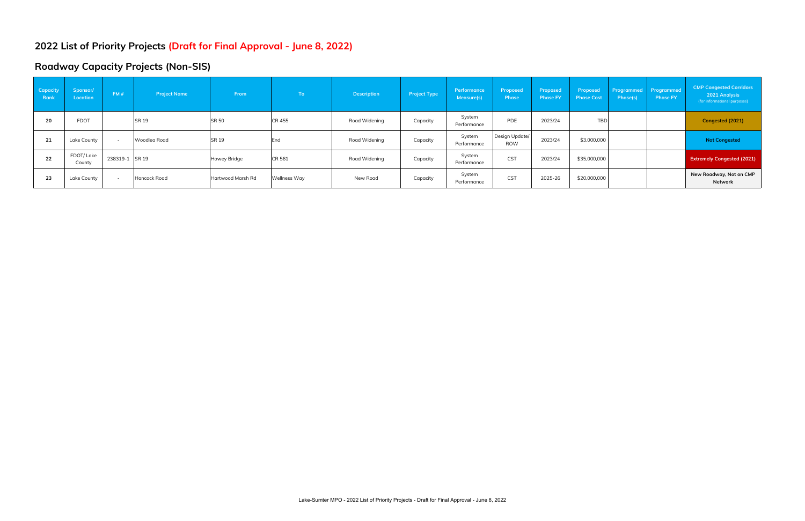#### **Roadway Capacity Projects (Non-SIS)**

| <b>Capacity</b><br>Rank | Sponsor/<br><b>Location</b> | FM#            | <b>Project Name</b> | From              | To            | <b>Description</b> | <b>Project Type</b> | Performance<br>Measure(s) | Proposed<br><b>Phase</b>     | Proposed<br><b>Phase FY</b> | Proposed<br><b>Phase Cost</b> | Phase(s) | <b>Programmed</b> Programmed<br><b>Phase FY</b> | <b>CMP Congested Corridors</b><br>2021 Analysis<br>(for informational purposes) |
|-------------------------|-----------------------------|----------------|---------------------|-------------------|---------------|--------------------|---------------------|---------------------------|------------------------------|-----------------------------|-------------------------------|----------|-------------------------------------------------|---------------------------------------------------------------------------------|
| 20                      | <b>FDOT</b>                 |                | <b>SR 19</b>        | <b>SR 50</b>      | <b>CR 455</b> | Road Widening      | Capacity            | System<br>Performance     | <b>PDE</b>                   | 2023/24                     | <b>TBD</b>                    |          |                                                 | Congested (2021)                                                                |
| 21                      | Lake County                 |                | Woodlea Road        | <b>SR 19</b>      | End           | Road Widening      | Capacity            | System<br>Performance     | Design Update/<br><b>ROW</b> | 2023/24                     | \$3,000,000                   |          |                                                 | <b>Not Congested</b>                                                            |
| 22                      | FDOT/Lake<br>County         | 238319-1 SR 19 |                     | Howey Bridge      | CR 561        | Road Widening      | Capacity            | System<br>Performance     | <b>CST</b>                   | 2023/24                     | \$35,000,000                  |          |                                                 | <b>Extremely Congested (2021)</b>                                               |
| 23                      | Lake County                 |                | Hancock Road        | Hartwood Marsh Rd | Wellness Way  | New Road           | Capacity            | System<br>Performance     | <b>CST</b>                   | 2025-26                     | \$20,000,000                  |          |                                                 | New Roadway, Not on CMP<br>Network                                              |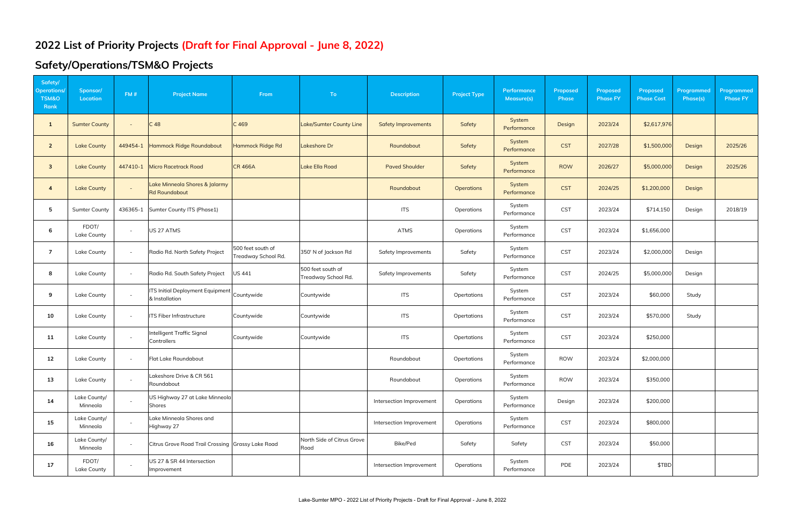# **Safety/Operations/TSM&O Projects**

| Safety/<br><b>Operations</b><br><b>TSM&amp;O</b><br>Rank | Sponsor/<br>Location        | FM#      | <b>Project Name</b>                                       | From                                     | <b>To</b>                                | <b>Description</b>         | <b>Project Type</b> | Performance<br>Measure(s) | Proposed<br><b>Phase</b> | Proposed<br><b>Phase FY</b> | Proposed<br><b>Phase Cost</b> | Programmed<br>Phase(s) | <b>Programmed</b><br><b>Phase FY</b> |
|----------------------------------------------------------|-----------------------------|----------|-----------------------------------------------------------|------------------------------------------|------------------------------------------|----------------------------|---------------------|---------------------------|--------------------------|-----------------------------|-------------------------------|------------------------|--------------------------------------|
| $\mathbf{1}$                                             | <b>Sumter County</b>        | $\sim$   | C <sub>48</sub>                                           | C <sub>469</sub>                         | <b>Lake/Sumter County Line</b>           | <b>Safety Improvements</b> | Safety              | System<br>Performance     | Design                   | 2023/24                     | \$2,617,976                   |                        |                                      |
| $\overline{2}$                                           | <b>Lake County</b>          | 449454-1 | Hammock Ridge Roundabout                                  | Hammock Ridge Rd                         | Lakeshore Dr                             | Roundabout                 | Safety              | System<br>Performance     | <b>CST</b>               | 2027/28                     | \$1,500,000                   | Design                 | 2025/26                              |
| $\overline{\mathbf{3}}$                                  | <b>Lake County</b>          | 447410-1 | <b>Micro Racetrack Road</b>                               | <b>CR 466A</b>                           | <b>Lake Ella Road</b>                    | <b>Paved Shoulder</b>      | Safety              | System<br>Performance     | <b>ROW</b>               | 2026/27                     | \$5,000,000                   | Design                 | 2025/26                              |
| $\overline{4}$                                           | <b>Lake County</b>          | $\sim$   | Lake Minneola Shores & Jalarmy<br><b>Rd Roundabout</b>    |                                          |                                          | Roundabout                 | <b>Operations</b>   | System<br>Performance     | <b>CST</b>               | 2024/25                     | \$1,200,000                   | Design                 |                                      |
| 5                                                        | <b>Sumter County</b>        | 436365-1 | Sumter County ITS (Phase1)                                |                                          |                                          | <b>ITS</b>                 | Operations          | System<br>Performance     | <b>CST</b>               | 2023/24                     | \$714,150                     | Design                 | 2018/19                              |
| 6                                                        | FDOT/<br><b>Lake County</b> | $\sim$   | US 27 ATMS                                                |                                          |                                          | <b>ATMS</b>                | Operations          | System<br>Performance     | <b>CST</b>               | 2023/24                     | \$1,656,000                   |                        |                                      |
| $\overline{7}$                                           | <b>Lake County</b>          | $\sim$   | Radio Rd. North Safety Project                            | 500 feet south of<br>Treadway School Rd. | 350' N of Jackson Rd                     | Safety Improvements        | Safety              | System<br>Performance     | <b>CST</b>               | 2023/24                     | \$2,000,000                   | Design                 |                                      |
| 8                                                        | Lake County                 | $\sim$   | Radio Rd. South Safety Project                            | US 441                                   | 500 feet south of<br>Treadway School Rd. | Safety Improvements        | Safety              | System<br>Performance     | <b>CST</b>               | 2024/25                     | \$5,000,000                   | Design                 |                                      |
| 9                                                        | Lake County                 | $\sim$   | <b>ITS Initial Deployment Equipment</b><br>& Installation | Countywide                               | Countywide                               | <b>ITS</b>                 | Opertations         | System<br>Performance     | <b>CST</b>               | 2023/24                     | \$60,000                      | Study                  |                                      |
| 10                                                       | Lake County                 | $\sim$   | ITS Fiber Infrastructure                                  | Countywide                               | Countywide                               | <b>ITS</b>                 | Opertations         | System<br>Performance     | <b>CST</b>               | 2023/24                     | \$570,000                     | Study                  |                                      |
| 11                                                       | Lake County                 | $\sim$   | Intelligent Traffic Signal<br>Controllers                 | Countywide                               | Countywide                               | <b>ITS</b>                 | Opertations         | System<br>Performance     | <b>CST</b>               | 2023/24                     | \$250,000                     |                        |                                      |
| 12                                                       | Lake County                 | $\sim$   | Flat Lake Roundabout                                      |                                          |                                          | Roundabout                 | Opertations         | System<br>Performance     | <b>ROW</b>               | 2023/24                     | \$2,000,000                   |                        |                                      |
| 13                                                       | Lake County                 | $\sim$   | Lakeshore Drive & CR 561<br>Roundabout                    |                                          |                                          | Roundabout                 | Operations          | System<br>Performance     | <b>ROW</b>               | 2023/24                     | \$350,000                     |                        |                                      |
| 14                                                       | Lake County/<br>Minneola    | $\sim$   | US Highway 27 at Lake Minneola<br><b>Shores</b>           |                                          |                                          | Intersection Improvement   | Operations          | System<br>Performance     | Design                   | 2023/24                     | \$200,000                     |                        |                                      |
| 15                                                       | Lake County/<br>Minneola    | $\sim$   | Lake Minneola Shores and<br>Highway 27                    |                                          |                                          | Intersection Improvement   | Operations          | System<br>Performance     | <b>CST</b>               | 2023/24                     | \$800,000                     |                        |                                      |
| 16                                                       | Lake County/<br>Minneola    | $\sim$   | Citrus Grove Road Trail Crossing Grassy Lake Road         |                                          | North Side of Citrus Grove<br>Road       | Bike/Ped                   | Safety              | Safety                    | <b>CST</b>               | 2023/24                     | \$50,000                      |                        |                                      |
| 17                                                       | FDOT/<br>Lake County        | $\sim$   | US 27 & SR 44 Intersection<br>Improvement                 |                                          |                                          | Intersection Improvement   | Operations          | System<br>Performance     | PDE                      | 2023/24                     | \$TBD                         |                        |                                      |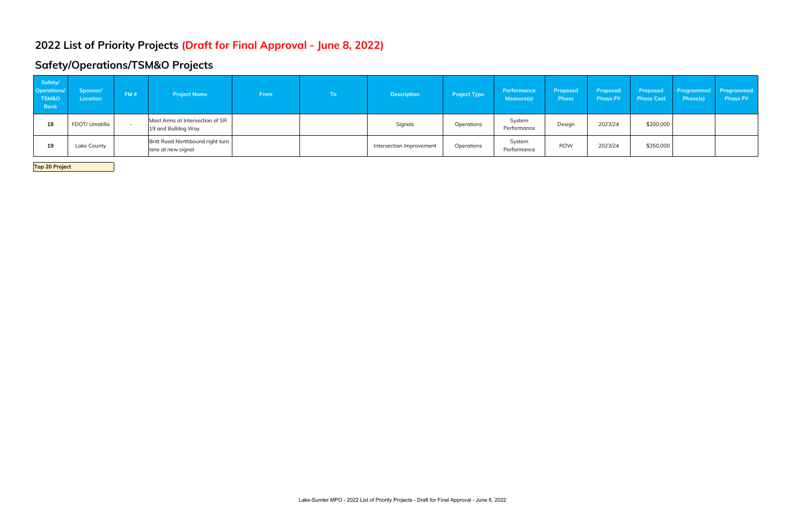# **Safety/Operations/TSM&O Projects**

| Safety/<br><b>Operations/</b><br><b>TSM&amp;O</b><br><b>Rank</b> | Sponsor/<br>Location | FM#                      | <b>Project Name</b>                                    | From | To l | <b>Description</b>       | <b>Project Type</b> | Performance<br>Measure(s) | Proposed<br><b>Phase</b> | Proposed<br><b>Phase FY</b> | <b>Phase Cost</b> | Proposed Programmed Programmed<br>Phase(s) | <b>Phase FY</b> |
|------------------------------------------------------------------|----------------------|--------------------------|--------------------------------------------------------|------|------|--------------------------|---------------------|---------------------------|--------------------------|-----------------------------|-------------------|--------------------------------------------|-----------------|
| 18                                                               | FDOT/ Umatilla       | $\overline{\phantom{0}}$ | Mast Arms at Intersection of SR<br>19 and Bulldog Way  |      |      | Signals                  | Operations          | System<br>Performance     | Design                   | 2023/24                     | \$200,000         |                                            |                 |
| 19                                                               | Lake County          |                          | Britt Road Northbound right turn<br>lane at new signal |      |      | Intersection Improvement | Operations          | System<br>Performance     | <b>ROW</b>               | 2023/24                     | \$350,000         |                                            |                 |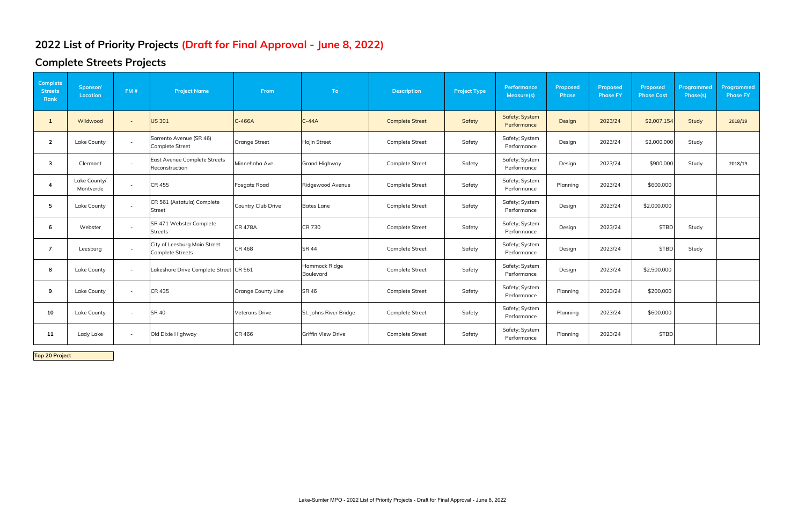# **Complete Streets Projects**

| Complete<br><b>Streets</b><br>Rank | Sponsor/<br><b>Location</b> | FM#                      | <b>Project Name</b>                                     | From                  | To:                        | <b>Description</b>     | <b>Project Type</b> | Performance<br>Measure(s)     | Proposed<br>Phase | Proposed<br><b>Phase FY</b> | Proposed<br><b>Phase Cost</b> | Programmed<br>Phase(s) | Programmed<br><b>Phase FY</b> |
|------------------------------------|-----------------------------|--------------------------|---------------------------------------------------------|-----------------------|----------------------------|------------------------|---------------------|-------------------------------|-------------------|-----------------------------|-------------------------------|------------------------|-------------------------------|
| -1                                 | Wildwood                    | $\sim$                   | <b>US 301</b>                                           | $C-466A$              | $C-44A$                    | <b>Complete Street</b> | Safety              | Safety; System<br>Performance | Design            | 2023/24                     | \$2,007,154                   | <b>Study</b>           | 2018/19                       |
| $\overline{2}$                     | Lake County                 | $\sim$                   | Sorrento Avenue (SR 46)<br><b>Complete Street</b>       | Orange Street         | Hojin Street               | <b>Complete Street</b> | Safety              | Safety; System<br>Performance | Design            | 2023/24                     | \$2,000,000                   | Study                  |                               |
| 3                                  | Clermont                    | $\sim$                   | East Avenue Complete Streets<br>Reconstruction          | Minnehaha Ave         | <b>Grand Highway</b>       | <b>Complete Street</b> | Safety              | Safety; System<br>Performance | Design            | 2023/24                     | \$900,000                     | Study                  | 2018/19                       |
|                                    | Lake County/<br>Montverde   | $\overline{\phantom{a}}$ | CR 455                                                  | Fosgate Road          | Ridgewood Avenue           | Complete Street        | Safety              | Safety; System<br>Performance | Planning          | 2023/24                     | \$600,000                     |                        |                               |
| 5                                  | Lake County                 | $\sim$                   | CR 561 (Astatula) Complete<br>Street                    | Country Club Drive    | <b>Bates Lane</b>          | Complete Street        | Safety              | Safety; System<br>Performance | Design            | 2023/24                     | \$2,000,000                   |                        |                               |
| 6                                  | Webster                     | $\sim$                   | SR 471 Webster Complete<br><b>Streets</b>               | <b>CR 478A</b>        | CR 730                     | Complete Street        | Safety              | Safety; System<br>Performance | Design            | 2023/24                     | \$TBD                         | Study                  |                               |
| 7                                  | Leesburg                    | $\sim$                   | City of Leesburg Main Street<br><b>Complete Streets</b> | CR 468                | <b>SR 44</b>               | Complete Street        | Safety              | Safety; System<br>Performance | Design            | 2023/24                     | \$TBD                         | Study                  |                               |
| 8                                  | Lake County                 | $\overline{\phantom{a}}$ | Lakeshore Drive Complete Street CR 561                  |                       | Hammock Ridge<br>Boulevard | <b>Complete Street</b> | Safety              | Safety; System<br>Performance | Design            | 2023/24                     | \$2,500,000                   |                        |                               |
| 9                                  | Lake County                 | $\overline{\phantom{a}}$ | CR 435                                                  | Orange County Line    | SR 46                      | Complete Street        | Safety              | Safety; System<br>Performance | Planning          | 2023/24                     | \$200,000                     |                        |                               |
| 10                                 | Lake County                 | $\overline{\phantom{a}}$ | <b>SR 40</b>                                            | <b>Veterans Drive</b> | St. Johns River Bridge     | Complete Street        | Safety              | Safety; System<br>Performance | Planning          | 2023/24                     | \$600,000                     |                        |                               |
| 11                                 | Lady Lake                   | $\overline{\phantom{a}}$ | Old Dixie Highway                                       | CR 466                | Griffin View Drive         | Complete Street        | Safety              | Safety; System<br>Performance | Planning          | 2023/24                     | \$TBD                         |                        |                               |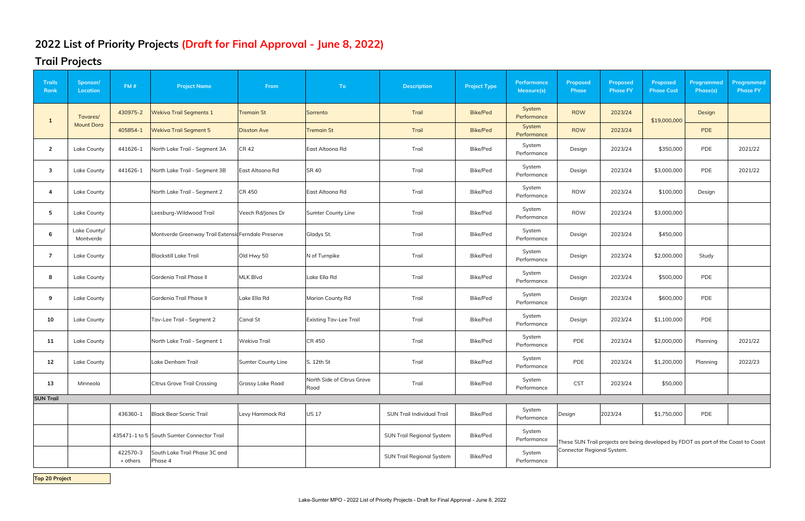### **Trail Projects**

| <b>Trails</b><br>Rank | Sponsor/<br>Location      | FM#                  | <b>Project Name</b>                                 | From                    | To                                 | <b>Description</b>                | <b>Project Type</b> | <b>Performance</b><br>Measure(s) | Proposed<br><b>Phase</b>   | Proposed<br><b>Phase FY</b> | Proposed<br><b>Phase Cost</b>                                                      | Programmed<br>Phase(s) | Programmed<br><b>Phase FY</b> |
|-----------------------|---------------------------|----------------------|-----------------------------------------------------|-------------------------|------------------------------------|-----------------------------------|---------------------|----------------------------------|----------------------------|-----------------------------|------------------------------------------------------------------------------------|------------------------|-------------------------------|
| -1                    | Tavares/                  | 430975-2             | <b>Wekiva Trail Segments 1</b>                      | <b>Tremain St</b>       | Sorrento                           | Trail                             | <b>Bike/Ped</b>     | System<br>Performance            | <b>ROW</b>                 | 2023/24                     | \$19,000,000                                                                       | Design                 |                               |
|                       | <b>Mount Dora</b>         | 405854-1             | <b>Wekiva Trail Segment 5</b>                       | <b>Disston Ave</b>      | <b>Tremain St</b>                  | Trail                             | <b>Bike/Ped</b>     | System<br>Performance            | <b>ROW</b>                 | 2023/24                     |                                                                                    | <b>PDE</b>             |                               |
| $\overline{2}$        | Lake County               | 441626-1             | North Lake Trail - Segment 3A                       | <b>CR42</b>             | East Altoona Rd                    | Trail                             | Bike/Ped            | System<br>Performance            | Design                     | 2023/24                     | \$350,000                                                                          | PDE                    | 2021/22                       |
| 3                     | Lake County               | 441626-1             | North Lake Trail - Segment 3B                       | East Altoona Rd         | <b>SR 40</b>                       | Trail                             | Bike/Ped            | System<br>Performance            | Design                     | 2023/24                     | \$3,000,000                                                                        | PDE                    | 2021/22                       |
| 4                     | Lake County               |                      | North Lake Trail - Segment 2                        | CR 450                  | East Altoona Rd                    | Trail                             | Bike/Ped            | System<br>Performance            | <b>ROW</b>                 | 2023/24                     | \$100,000                                                                          | Design                 |                               |
| 5                     | Lake County               |                      | Leesburg-Wildwood Trail                             | Veech Rd/Jones Dr       | Sumter County Line                 | Trail                             | Bike/Ped            | System<br>Performance            | <b>ROW</b>                 | 2023/24                     | \$3,000,000                                                                        |                        |                               |
| 6                     | Lake County/<br>Montverde |                      | Montverde Greenway Trail Extensid Ferndale Preserve |                         | Gladys St.                         | Trail                             | Bike/Ped            | System<br>Performance            | Design                     | 2023/24                     | \$450,000                                                                          |                        |                               |
| $\overline{7}$        | Lake County               |                      | <b>Blackstill Lake Trail</b>                        | Old Hwy 50              | N of Turnpike                      | Trail                             | Bike/Ped            | System<br>Performance            | Design                     | 2023/24                     | \$2,000,000                                                                        | Study                  |                               |
| 8                     | Lake County               |                      | Gardenia Trail Phase II                             | <b>MLK Blvd</b>         | Lake Ella Rd                       | Trail                             | Bike/Ped            | System<br>Performance            | Design                     | 2023/24                     | \$500,000                                                                          | PDE                    |                               |
| 9                     | Lake County               |                      | Gardenia Trail Phase II                             | Lake Ella Rd            | <b>Marion County Rd</b>            | Trail                             | Bike/Ped            | System<br>Performance            | Design                     | 2023/24                     | \$600,000                                                                          | PDE                    |                               |
| 10                    | Lake County               |                      | Tav-Lee Trail - Segment 2                           | <b>Canal St</b>         | <b>Existing Tav-Lee Trail</b>      | Trail                             | Bike/Ped            | System<br>Performance            | Design                     | 2023/24                     | \$1,100,000                                                                        | PDE                    |                               |
| 11                    | Lake County               |                      | North Lake Trail - Segment 1                        | Wekiva Trail            | <b>CR 450</b>                      | Trail                             | Bike/Ped            | System<br>Performance            | PDE                        | 2023/24                     | \$2,000,000                                                                        | Planning               | 2021/22                       |
| 12 <sup>2</sup>       | <b>Lake County</b>        |                      | Lake Denham Trail                                   | Sumter County Line      | S. 12th St                         | Trail                             | Bike/Ped            | System<br>Performance            | PDE                        | 2023/24                     | \$1,200,000                                                                        | Planning               | 2022/23                       |
| 13                    | Minneola                  |                      | <b>Citrus Grove Trail Crossing</b>                  | <b>Grassy Lake Road</b> | North Side of Citrus Grove<br>Road | Trail                             | Bike/Ped            | System<br>Performance            | <b>CST</b>                 | 2023/24                     | \$50,000                                                                           |                        |                               |
| <b>SUN Trail</b>      |                           |                      |                                                     |                         |                                    |                                   |                     |                                  |                            |                             |                                                                                    |                        |                               |
|                       |                           | 436360-1             | Black Bear Scenic Trail                             | Levy Hammock Rd         | <b>US17</b>                        | <b>SUN Trail Individual Trail</b> | Bike/Ped            | System<br>Performance            | Design                     | 2023/24                     | \$1,750,000                                                                        | PDE                    |                               |
|                       |                           |                      | 435471-1 to 5 South Sumter Connector Trail          |                         |                                    | <b>SUN Trail Regional System</b>  | Bike/Ped            | System<br>Performance            |                            |                             | These SUN Trail projects are being developed by FDOT as part of the Coast to Coast |                        |                               |
|                       |                           | 422570-3<br>+ others | South Lake Trail Phase 3C and<br>Phase 4            |                         |                                    | <b>SUN Trail Regional System</b>  | Bike/Ped            | System<br>Performance            | Connector Regional System. |                             |                                                                                    |                        |                               |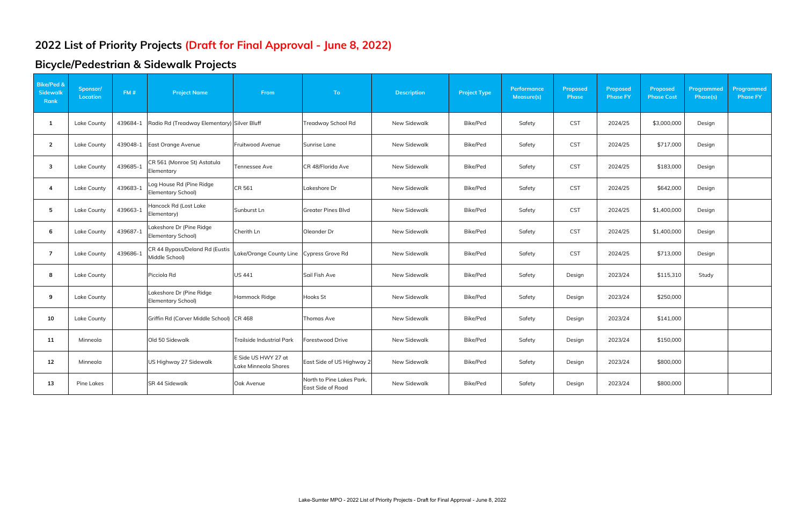# **Bicycle/Pedestrian & Sidewalk Projects**

| <b>Bike/Ped &amp;</b><br>Sidewalk<br>Rank | Sponsor/<br><b>Location</b> | FM#      | <b>Project Name</b>                              | From                                        | To                                             | <b>Description</b> | <b>Project Type</b> | <b>Performance</b><br>Measure(s) | <b>Proposed</b><br><b>Phase</b> | Proposed<br><b>Phase FY</b> | Proposed<br><b>Phase Cost</b> | Programmed<br>Phase(s) | <b>Programmed</b><br><b>Phase FY</b> |
|-------------------------------------------|-----------------------------|----------|--------------------------------------------------|---------------------------------------------|------------------------------------------------|--------------------|---------------------|----------------------------------|---------------------------------|-----------------------------|-------------------------------|------------------------|--------------------------------------|
| 1                                         | Lake County                 | 439684-1 | Radio Rd (Treadway Elementary) Silver Bluff      |                                             | Treadway School Rd                             | New Sidewalk       | Bike/Ped            | Safety                           | <b>CST</b>                      | 2024/25                     | \$3,000,000                   | Design                 |                                      |
| $\overline{2}$                            | Lake County                 | 439048-1 | East Orange Avenue                               | Fruitwood Avenue                            | Sunrise Lane                                   | New Sidewalk       | Bike/Ped            | Safety                           | <b>CST</b>                      | 2024/25                     | \$717,000                     | Design                 |                                      |
| $\overline{\mathbf{3}}$                   | Lake County                 | 439685-1 | CR 561 (Monroe St) Astatula<br>Elementary        | Tennessee Ave                               | CR 48/Florida Ave                              | New Sidewalk       | Bike/Ped            | Safety                           | <b>CST</b>                      | 2024/25                     | \$183,000                     | Design                 |                                      |
| $\overline{4}$                            | Lake County                 | 439683-1 | Log House Rd (Pine Ridge<br>Elementary School)   | CR 561                                      | Lakeshore Dr                                   | New Sidewalk       | Bike/Ped            | Safety                           | <b>CST</b>                      | 2024/25                     | \$642,000                     | Design                 |                                      |
| 5                                         | Lake County                 | 439663-1 | Hancock Rd (Lost Lake<br>Elementary)             | Sunburst Ln                                 | <b>Greater Pines Blvd</b>                      | New Sidewalk       | Bike/Ped            | Safety                           | <b>CST</b>                      | 2024/25                     | \$1,400,000                   | Design                 |                                      |
| 6                                         | Lake County                 | 439687-1 | Lakeshore Dr (Pine Ridge<br>Elementary School)   | Cherith Ln                                  | Oleander Dr                                    | New Sidewalk       | Bike/Ped            | Safety                           | <b>CST</b>                      | 2024/25                     | \$1,400,000                   | Design                 |                                      |
| $\overline{7}$                            | Lake County                 | 439686-1 | CR 44 Bypass/Deland Rd (Eustis<br>Middle School) | Lake/Orange County Line                     | Cypress Grove Rd                               | New Sidewalk       | Bike/Ped            | Safety                           | <b>CST</b>                      | 2024/25                     | \$713,000                     | Design                 |                                      |
| 8                                         | Lake County                 |          | Picciola Rd                                      | <b>US 441</b>                               | Sail Fish Ave                                  | New Sidewalk       | Bike/Ped            | Safety                           | Design                          | 2023/24                     | \$115,310                     | Study                  |                                      |
| 9                                         | Lake County                 |          | Lakeshore Dr (Pine Ridge<br>Elementary School)   | Hammock Ridge                               | Hooks St                                       | New Sidewalk       | Bike/Ped            | Safety                           | Design                          | 2023/24                     | \$250,000                     |                        |                                      |
| 10                                        | Lake County                 |          | Griffin Rd (Carver Middle School) CR 468         |                                             | Thomas Ave                                     | New Sidewalk       | Bike/Ped            | Safety                           | Design                          | 2023/24                     | \$141,000                     |                        |                                      |
| 11                                        | Minneola                    |          | Old 50 Sidewalk                                  | <b>Trailside Industrial Park</b>            | Forestwood Drive                               | New Sidewalk       | Bike/Ped            | Safety                           | Design                          | 2023/24                     | \$150,000                     |                        |                                      |
| 12                                        | Minneola                    |          | US Highway 27 Sidewalk                           | E Side US HWY 27 at<br>Lake Minneola Shores | East Side of US Highway 2                      | New Sidewalk       | Bike/Ped            | Safety                           | Design                          | 2023/24                     | \$800,000                     |                        |                                      |
| 13                                        | Pine Lakes                  |          | SR 44 Sidewalk                                   | Oak Avenue                                  | North to Pine Lakes Park.<br>East Side of Road | New Sidewalk       | Bike/Ped            | Safety                           | Design                          | 2023/24                     | \$800,000                     |                        |                                      |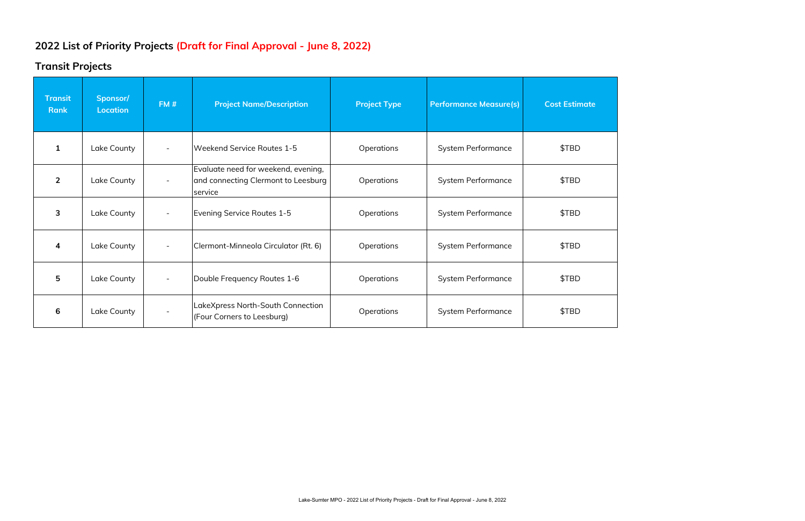### **Transit Projects**

| <b>Transit</b><br><b>Rank</b> | Sponsor/<br><b>Location</b> | FM#                      | <b>Project Name/Description</b>                                                       | <b>Project Type</b> | <b>Performance Measure(s)</b> | <b>Cost Estimate</b> |
|-------------------------------|-----------------------------|--------------------------|---------------------------------------------------------------------------------------|---------------------|-------------------------------|----------------------|
| $\mathbf{1}$                  | Lake County                 | $\overline{\phantom{a}}$ | Weekend Service Routes 1-5                                                            | Operations          | <b>System Performance</b>     | \$TBD                |
| $\overline{2}$                | Lake County                 | $\overline{\phantom{a}}$ | Evaluate need for weekend, evening,<br>and connecting Clermont to Leesburg<br>service | Operations          | <b>System Performance</b>     | \$TBD                |
| 3                             | Lake County                 |                          | Evening Service Routes 1-5                                                            | Operations          | <b>System Performance</b>     | \$TBD                |
| 4                             | Lake County                 | $\overline{\phantom{a}}$ | Clermont-Minneola Circulator (Rt. 6)                                                  | Operations          | <b>System Performance</b>     | \$TBD                |
| 5                             | Lake County                 |                          | Double Frequency Routes 1-6                                                           | Operations          | System Performance            | \$TBD                |
| 6                             | Lake County                 |                          | LakeXpress North-South Connection<br>(Four Corners to Leesburg)                       | Operations          | <b>System Performance</b>     | \$TBD                |

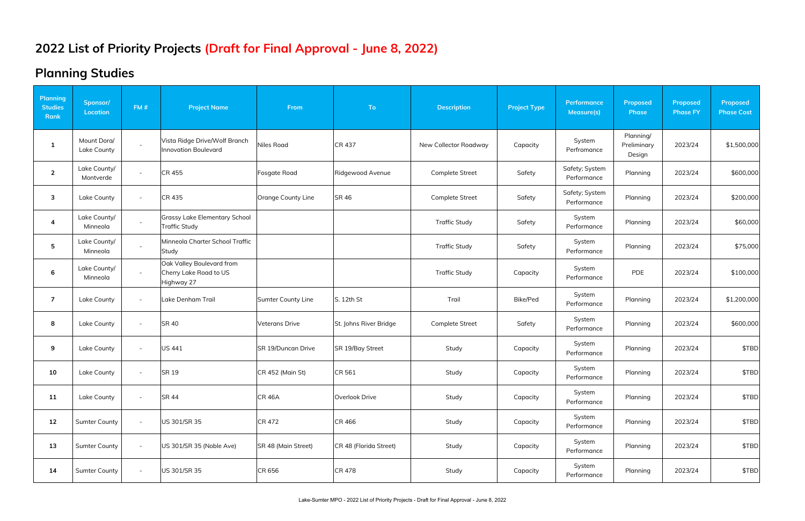# **Planning Studies**

| <b>Planning</b><br><b>Studies</b><br>Rank | Sponsor/<br><b>Location</b> | FM#                      | <b>Project Name</b>                                               | From                  | <b>To</b>              | <b>Description</b>     | <b>Project Type</b> | Performance<br>Measure(s)     | <b>Proposed</b><br><b>Phase</b>    | Proposed<br><b>Phase FY</b> | Proposed<br><b>Phase Cost</b> |
|-------------------------------------------|-----------------------------|--------------------------|-------------------------------------------------------------------|-----------------------|------------------------|------------------------|---------------------|-------------------------------|------------------------------------|-----------------------------|-------------------------------|
| $\mathbf{1}$                              | Mount Dora/<br>Lake County  | $\sim$                   | Vista Ridge Drive/Wolf Branch<br><b>Innovation Boulevard</b>      | <b>Niles Road</b>     | CR 437                 | New Collector Roadway  | Capacity            | System<br>Perfromance         | Planning/<br>Preliminary<br>Design | 2023/24                     | \$1,500,000                   |
| $\overline{2}$                            | Lake County/<br>Montverde   | $\overline{\phantom{a}}$ | <b>CR 455</b>                                                     | Fosgate Road          | Ridgewood Avenue       | Complete Street        | Safety              | Safety; System<br>Performance | Planning                           | 2023/24                     | \$600,000                     |
| 3                                         | Lake County                 | $\overline{\phantom{a}}$ | <b>CR 435</b>                                                     | Orange County Line    | <b>SR 46</b>           | <b>Complete Street</b> | Safety              | Safety; System<br>Performance | Planning                           | 2023/24                     | \$200,000                     |
| $\overline{\mathbf{4}}$                   | Lake County/<br>Minneola    | $\blacksquare$           | <b>Grassy Lake Elementary School</b><br><b>Traffic Study</b>      |                       |                        | <b>Traffic Study</b>   | Safety              | System<br>Performance         | Planning                           | 2023/24                     | \$60,000                      |
| 5                                         | Lake County/<br>Minneola    | $\sim$                   | Minneola Charter School Traffic<br>Study                          |                       |                        | <b>Traffic Study</b>   | Safety              | System<br>Performance         | Planning                           | 2023/24                     | \$75,000                      |
| 6                                         | Lake County/<br>Minneola    | $\sim$                   | Oak Valley Boulevard from<br>Cherry Lake Road to US<br>Highway 27 |                       |                        | <b>Traffic Study</b>   | Capacity            | System<br>Performance         | PDE                                | 2023/24                     | \$100,000                     |
| $\overline{7}$                            | Lake County                 | $\blacksquare$           | Lake Denham Trail                                                 | Sumter County Line    | S. 12th St             | Trail                  | Bike/Ped            | System<br>Performance         | Planning                           | 2023/24                     | \$1,200,000                   |
| 8                                         | Lake County                 | $\overline{\phantom{a}}$ | <b>SR 40</b>                                                      | <b>Veterans Drive</b> | St. Johns River Bridge | Complete Street        | Safety              | System<br>Performance         | Planning                           | 2023/24                     | \$600,000                     |
| 9                                         | Lake County                 | $\overline{\phantom{a}}$ | <b>US 441</b>                                                     | SR 19/Duncan Drive    | SR 19/Bay Street       | Study                  | Capacity            | System<br>Performance         | Planning                           | 2023/24                     | \$TBD                         |
| 10                                        | Lake County                 | $\overline{\phantom{a}}$ | <b>SR 19</b>                                                      | CR 452 (Main St)      | CR 561                 | Study                  | Capacity            | System<br>Performance         | Planning                           | 2023/24                     | \$TBD                         |
| 11                                        | Lake County                 | $\overline{\phantom{a}}$ | <b>SR 44</b>                                                      | <b>CR 46A</b>         | Overlook Drive         | Study                  | Capacity            | System<br>Performance         | Planning                           | 2023/24                     | \$TBD                         |
| 12                                        | <b>Sumter County</b>        | $\blacksquare$           | US 301/SR 35                                                      | CR 472                | CR 466                 | Study                  | Capacity            | System<br>Performance         | Planning                           | 2023/24                     | \$TBD                         |
| 13                                        | <b>Sumter County</b>        | $\overline{\phantom{a}}$ | US 301/SR 35 (Noble Ave)                                          | SR 48 (Main Street)   | CR 48 (Florida Street) | Study                  | Capacity            | System<br>Performance         | Planning                           | 2023/24                     | \$TBD                         |
| 14                                        | <b>Sumter County</b>        | $\overline{\phantom{a}}$ | US 301/SR 35                                                      | CR 656                | CR 478                 | Study                  | Capacity            | System<br>Performance         | Planning                           | 2023/24                     | \$TBD                         |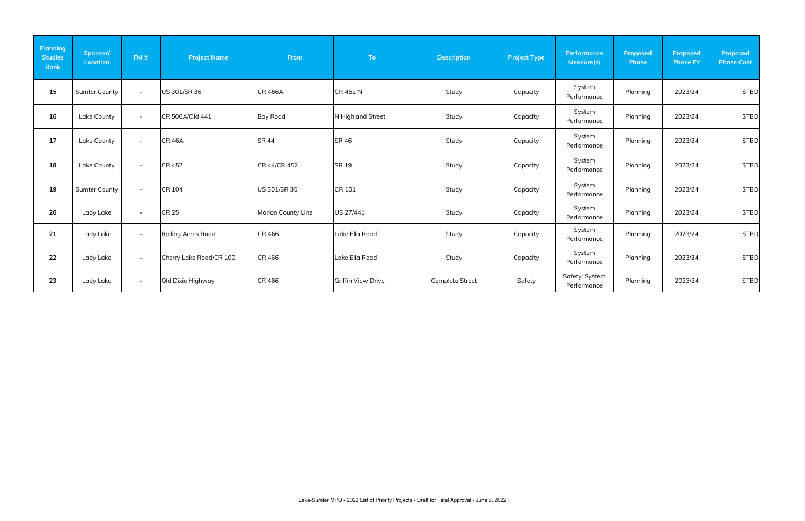| <b>Planning</b><br><b>Studies</b><br>Rank | Sponsor/<br><b>Location</b> | FM#                      | <b>Project Name</b>     | From               | To:                       | <b>Description</b>     | <b>Project Type</b> | Performance<br>Measure(s)     | <b>Proposed</b><br>Phase | <b>Proposed</b><br><b>Phase FY</b> | Proposed<br><b>Phase Cost</b> |
|-------------------------------------------|-----------------------------|--------------------------|-------------------------|--------------------|---------------------------|------------------------|---------------------|-------------------------------|--------------------------|------------------------------------|-------------------------------|
| 15                                        | <b>Sumter County</b>        | $\sim$                   | US 301/SR 36            | <b>CR 466A</b>     | CR 462 N                  | Study                  | Capacity            | System<br>Performance         | Planning                 | 2023/24                            | \$TBD                         |
| 16                                        | Lake County                 | $\blacksquare$           | CR 500A/Old 441         | <b>Bay Road</b>    | N Highland Street         | Study                  | Capacity            | System<br>Performance         | Planning                 | 2023/24                            | \$TBD                         |
| 17                                        | Lake County                 | $\overline{\phantom{a}}$ | <b>CR 46A</b>           | <b>SR 44</b>       | <b>SR 46</b>              | Study                  | Capacity            | System<br>Performance         | Planning                 | 2023/24                            | \$TBD                         |
| 18                                        | Lake County                 | $\sim$                   | <b>CR 452</b>           | CR 44/CR 452       | SR 19                     | Study                  | Capacity            | System<br>Performance         | Planning                 | 2023/24                            | \$TBD                         |
| 19                                        | <b>Sumter County</b>        | $\overline{\phantom{a}}$ | <b>CR 104</b>           | US 301/SR 35       | CR 101                    | Study                  | Capacity            | System<br>Performance         | Planning                 | 2023/24                            | \$TBD                         |
| 20                                        | Lady Lake                   | $\sim$                   | <b>CR 25</b>            | Marion County Line | US 27/441                 | Study                  | Capacity            | System<br>Performance         | Planning                 | 2023/24                            | \$TBD                         |
| 21                                        | Lady Lake                   | $\sim$                   | Rolling Acres Road      | <b>CR 466</b>      | Lake Ella Road            | Study                  | Capacity            | System<br>Performance         | Planning                 | 2023/24                            | \$TBD                         |
| 22                                        | Lady Lake                   | $\blacksquare$           | Cherry Lake Road/CR 100 | <b>CR 466</b>      | Lake Ella Road            | Study                  | Capacity            | System<br>Performance         | Planning                 | 2023/24                            | \$TBD                         |
| 23                                        | Lady Lake                   | $\sim$                   | Old Dixie Highway       | <b>CR 466</b>      | <b>Griffin View Drive</b> | <b>Complete Street</b> | Safety              | Safety; System<br>Performance | Planning                 | 2023/24                            | \$TBD                         |